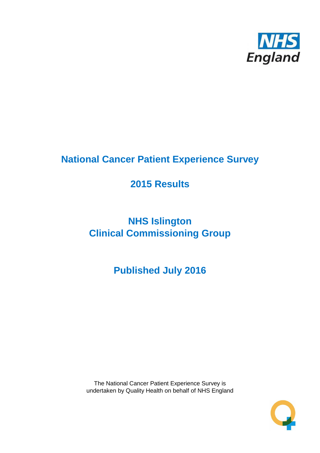

## **National Cancer Patient Experience Survey**

## **2015 Results**

# **NHS Islington Clinical Commissioning Group**

**Published July 2016**

The National Cancer Patient Experience Survey is undertaken by Quality Health on behalf of NHS England

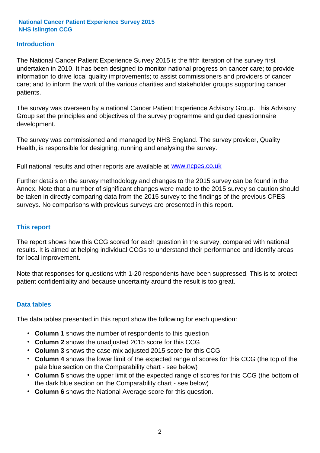### **Introduction**

The National Cancer Patient Experience Survey 2015 is the fifth iteration of the survey first undertaken in 2010. It has been designed to monitor national progress on cancer care; to provide information to drive local quality improvements; to assist commissioners and providers of cancer care; and to inform the work of the various charities and stakeholder groups supporting cancer patients.

The survey was overseen by a national Cancer Patient Experience Advisory Group. This Advisory Group set the principles and objectives of the survey programme and guided questionnaire development.

The survey was commissioned and managed by NHS England. The survey provider, Quality Health, is responsible for designing, running and analysing the survey.

Full national results and other reports are available at www.ncpes.co.uk

Further details on the survey methodology and changes to the 2015 survey can be found in the Annex. Note that a number of significant changes were made to the 2015 survey so caution should be taken in directly comparing data from the 2015 survey to the findings of the previous CPES surveys. No comparisons with previous surveys are presented in this report.

#### **This report**

The report shows how this CCG scored for each question in the survey, compared with national results. It is aimed at helping individual CCGs to understand their performance and identify areas for local improvement.

Note that responses for questions with 1-20 respondents have been suppressed. This is to protect patient confidentiality and because uncertainty around the result is too great.

#### **Data tables**

The data tables presented in this report show the following for each question:

- **Column 1** shows the number of respondents to this question
- **Column 2** shows the unadjusted 2015 score for this CCG
- **Column 3** shows the case-mix adjusted 2015 score for this CCG
- **Column 4** shows the lower limit of the expected range of scores for this CCG (the top of the pale blue section on the Comparability chart - see below)
- **Column 5** shows the upper limit of the expected range of scores for this CCG (the bottom of the dark blue section on the Comparability chart - see below)
- **Column 6** shows the National Average score for this question.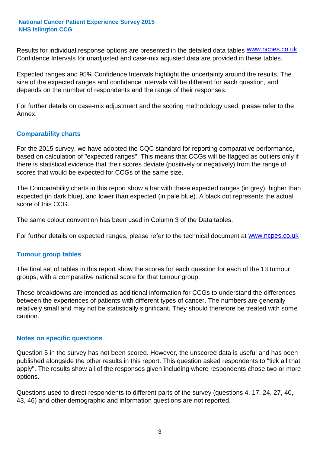Results for individual response options are presented in the detailed data tables **WWW.ncpes.co.uk** Confidence Intervals for unadjusted and case-mix adjusted data are provided in these tables.

Expected ranges and 95% Confidence Intervals highlight the uncertainty around the results. The size of the expected ranges and confidence intervals will be different for each question, and depends on the number of respondents and the range of their responses.

For further details on case-mix adjustment and the scoring methodology used, please refer to the Annex.

### **Comparability charts**

For the 2015 survey, we have adopted the CQC standard for reporting comparative performance, based on calculation of "expected ranges". This means that CCGs will be flagged as outliers only if there is statistical evidence that their scores deviate (positively or negatively) from the range of scores that would be expected for CCGs of the same size.

The Comparability charts in this report show a bar with these expected ranges (in grey), higher than expected (in dark blue), and lower than expected (in pale blue). A black dot represents the actual score of this CCG.

The same colour convention has been used in Column 3 of the Data tables.

For further details on expected ranges, please refer to the technical document at **www.ncpes.co.uk** 

#### **Tumour group tables**

The final set of tables in this report show the scores for each question for each of the 13 tumour groups, with a comparative national score for that tumour group.

These breakdowns are intended as additional information for CCGs to understand the differences between the experiences of patients with different types of cancer. The numbers are generally relatively small and may not be statistically significant. They should therefore be treated with some caution.

#### **Notes on specific questions**

Question 5 in the survey has not been scored. However, the unscored data is useful and has been published alongside the other results in this report. This question asked respondents to "tick all that apply". The results show all of the responses given including where respondents chose two or more options.

Questions used to direct respondents to different parts of the survey (questions 4, 17, 24, 27, 40, 43, 46) and other demographic and information questions are not reported.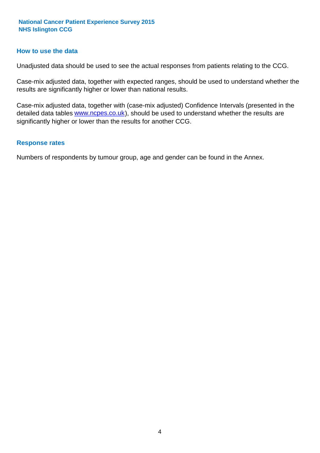#### **How to use the data**

Unadjusted data should be used to see the actual responses from patients relating to the CCG.

Case-mix adjusted data, together with expected ranges, should be used to understand whether the results are significantly higher or lower than national results.

Case-mix adjusted data, together with (case-mix adjusted) Confidence Intervals (presented in the detailed data tables **www.ncpes.co.uk**), should be used to understand whether the results are significantly higher or lower than the results for another CCG.

#### **Response rates**

Numbers of respondents by tumour group, age and gender can be found in the Annex.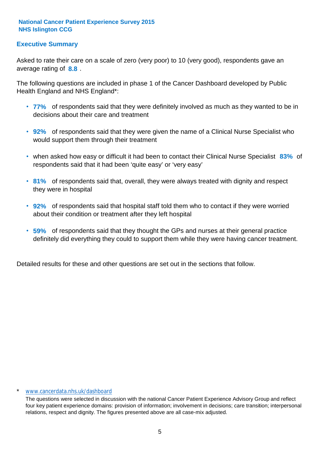## **Executive Summary**

average rating of **8.8**. Asked to rate their care on a scale of zero (very poor) to 10 (very good), respondents gave an

The following questions are included in phase 1 of the Cancer Dashboard developed by Public Health England and NHS England\*:

- **77%** of respondents said that they were definitely involved as much as they wanted to be in decisions about their care and treatment
- **92%** of respondents said that they were given the name of a Clinical Nurse Specialist who would support them through their treatment
- when asked how easy or difficult it had been to contact their Clinical Nurse Specialist 83% of respondents said that it had been 'quite easy' or 'very easy'
- **81%** of respondents said that, overall, they were always treated with dignity and respect they were in hospital
- **92%** of respondents said that hospital staff told them who to contact if they were worried about their condition or treatment after they left hospital
- **59%** of respondents said that they thought the GPs and nurses at their general practice definitely did everything they could to support them while they were having cancer treatment.

Detailed results for these and other questions are set out in the sections that follow.

#### \* www.cancerdata.nhs.uk/dashboard

The questions were selected in discussion with the national Cancer Patient Experience Advisory Group and reflect four key patient experience domains: provision of information; involvement in decisions; care transition; interpersonal relations, respect and dignity. The figures presented above are all case-mix adjusted.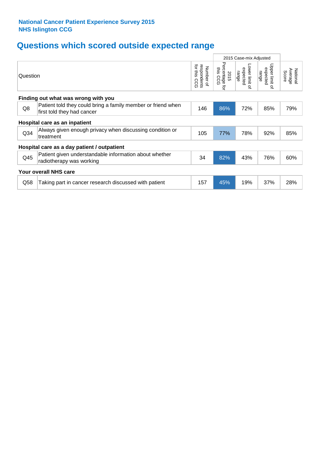## **Questions which scored outside expected range**

|                 |                                                                                            |                                             | 2015 Case-mix Adjusted              |                                     |                                       |                              |
|-----------------|--------------------------------------------------------------------------------------------|---------------------------------------------|-------------------------------------|-------------------------------------|---------------------------------------|------------------------------|
| Question        |                                                                                            | for this<br>respondents<br>Number of<br>င်င | Percentage<br>this CCG<br>2015<br>ą | Lower limit of<br>expected<br>range | Upper limit<br>expected<br>range<br>õ | Average<br>National<br>Score |
|                 | Finding out what was wrong with you                                                        |                                             |                                     |                                     |                                       |                              |
| Q8              | Patient told they could bring a family member or friend when<br>first told they had cancer | 146                                         | 86%                                 | 72%                                 | 85%                                   | 79%                          |
|                 | Hospital care as an inpatient                                                              |                                             |                                     |                                     |                                       |                              |
| Q <sub>34</sub> | Always given enough privacy when discussing condition or<br>treatment                      | 105                                         | 77%                                 | 78%                                 | 92%                                   | 85%                          |
|                 | Hospital care as a day patient / outpatient                                                |                                             |                                     |                                     |                                       |                              |
| Q45             | Patient given understandable information about whether<br>radiotherapy was working         | 34                                          | 82%                                 | 43%                                 | 76%                                   | 60%                          |
|                 | <b>Your overall NHS care</b>                                                               |                                             |                                     |                                     |                                       |                              |
| Q58             | Taking part in cancer research discussed with patient                                      | 157                                         | 45%                                 | 19%                                 | 37%                                   | 28%                          |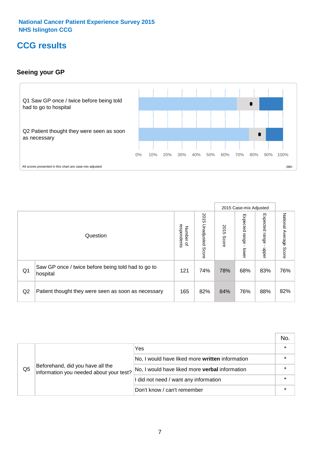## **CCG results**

## **Seeing your GP**



|    |                                                                |                                              |                             |               | 2015 Case-mix Adjusted     |                            |                           |
|----|----------------------------------------------------------------|----------------------------------------------|-----------------------------|---------------|----------------------------|----------------------------|---------------------------|
|    | Question                                                       | respondents<br>Number<br>$\overline{\sigma}$ | 2015<br>Unadjusted<br>Score | 2015<br>Score | Expected<br>range<br>lower | Expected<br>range<br>nbber | National Average<br>Score |
| Q1 | Saw GP once / twice before being told had to go to<br>hospital | 121                                          | 74%                         | 78%           | 68%                        | 83%                        | 76%                       |
| Q2 | Patient thought they were seen as soon as necessary            | 165                                          | 82%                         | 84%           | 76%                        | 88%                        | 82%                       |

|    |                                                                             |                                                 | No. |
|----|-----------------------------------------------------------------------------|-------------------------------------------------|-----|
|    |                                                                             | Yes                                             |     |
|    | Beforehand, did you have all the<br>information you needed about your test? | No, I would have liked more written information |     |
| Q5 |                                                                             | No, I would have liked more verbal information  |     |
|    |                                                                             | I did not need / want any information           |     |
|    |                                                                             | Don't know / can't remember                     |     |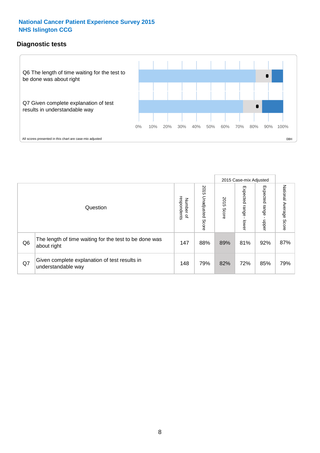## **Diagnostic tests**



|                |                                                                       |                                       |                             |               | 2015 Case-mix Adjusted  |                         |                           |
|----------------|-----------------------------------------------------------------------|---------------------------------------|-----------------------------|---------------|-------------------------|-------------------------|---------------------------|
|                | Question                                                              | respondents<br>Number<br>$\mathbf{Q}$ | 2015<br>Unadjusted<br>Score | 2015<br>Score | Expected range<br>lower | Expected range<br>nbber | National Average<br>Score |
| Q <sub>6</sub> | The length of time waiting for the test to be done was<br>about right | 147                                   | 88%                         | 89%           | 81%                     | 92%                     | 87%                       |
| Q7             | Given complete explanation of test results in<br>understandable way   | 148                                   | 79%                         | 82%           | 72%                     | 85%                     | 79%                       |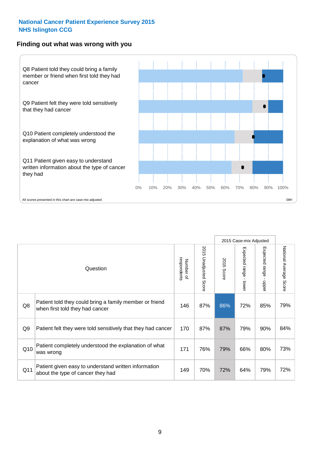#### **Finding out what was wrong with you**



|     |                                                                                            |                          |                       |               | 2015 Case-mix Adjusted |                         |                           |
|-----|--------------------------------------------------------------------------------------------|--------------------------|-----------------------|---------------|------------------------|-------------------------|---------------------------|
|     | Question                                                                                   | Number of<br>respondents | 2015 Unadjusted Score | 2015<br>Score | Expected range - lower | Expected range<br>nbber | National Average<br>Score |
| Q8  | Patient told they could bring a family member or friend<br>when first told they had cancer | 146                      | 87%                   | 86%           | 72%                    | 85%                     | 79%                       |
| Q9  | Patient felt they were told sensitively that they had cancer                               | 170                      | 87%                   | 87%           | 79%                    | 90%                     | 84%                       |
| Q10 | Patient completely understood the explanation of what<br>was wrong                         | 171                      | 76%                   | 79%           | 66%                    | 80%                     | 73%                       |
| Q11 | Patient given easy to understand written information<br>about the type of cancer they had  | 149                      | 70%                   | 72%           | 64%                    | 79%                     | 72%                       |

73%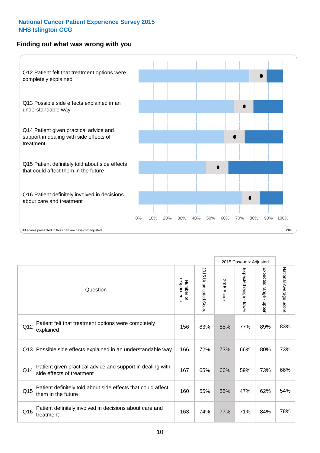## **Finding out what was wrong with you**



|                 |                                                                                         |                          |                                 | 2015 Case-mix Adjusted |                                           |                        |                        |
|-----------------|-----------------------------------------------------------------------------------------|--------------------------|---------------------------------|------------------------|-------------------------------------------|------------------------|------------------------|
|                 | Question                                                                                | Number of<br>respondents | 2015<br><b>Unadjusted Score</b> | 2015<br>Score          | Expected range<br>$\blacksquare$<br>lower | Expected range - upper | National Average Score |
| Q12             | Patient felt that treatment options were completely<br>explained                        | 156                      | 83%                             | 85%                    | 77%                                       | 89%                    | 83%                    |
| Q13             | Possible side effects explained in an understandable way                                | 166                      | 72%                             | 73%                    | 66%                                       | 80%                    | 73%                    |
| Q14             | Patient given practical advice and support in dealing with<br>side effects of treatment | 167                      | 65%                             | 66%                    | 59%                                       | 73%                    | 66%                    |
| Q <sub>15</sub> | Patient definitely told about side effects that could affect<br>them in the future      | 160                      | 55%                             | 55%                    | 47%                                       | 62%                    | 54%                    |
| Q16             | Patient definitely involved in decisions about care and<br>treatment                    | 163                      | 74%                             | 77%                    | 71%                                       | 84%                    | 78%                    |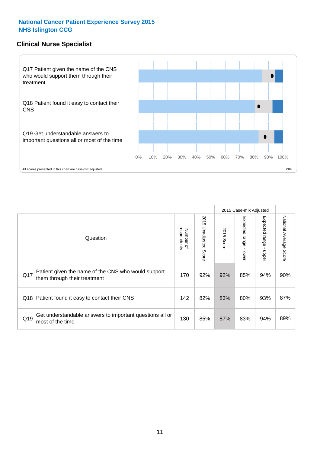## **Clinical Nurse Specialist**



|     |                                                                                     |                          |                       |               | 2015 Case-mix Adjusted  |                         |                           |
|-----|-------------------------------------------------------------------------------------|--------------------------|-----------------------|---------------|-------------------------|-------------------------|---------------------------|
|     | Question                                                                            | respondents<br>Number of | 2015 Unadjusted Score | 2015<br>Score | Expected range<br>lower | Expected range<br>nbber | National Average<br>Score |
| Q17 | Patient given the name of the CNS who would support<br>them through their treatment | 170                      | 92%                   | 92%           | 85%                     | 94%                     | 90%                       |
| Q18 | Patient found it easy to contact their CNS                                          | 142                      | 82%                   | 83%           | 80%                     | 93%                     | 87%                       |
| Q19 | Get understandable answers to important questions all or<br>most of the time        | 130                      | 85%                   | 87%           | 83%                     | 94%                     | 89%                       |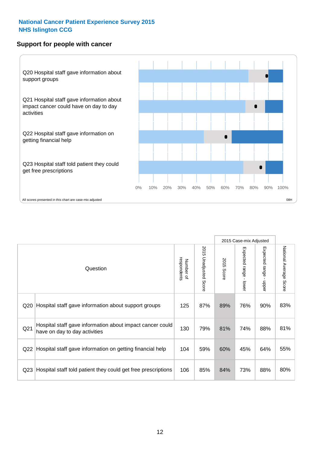### **Support for people with cancer**



|                 |                                                                                            |                          |                                 |               | 2015 Case-mix Adjusted  |                                         |                        |
|-----------------|--------------------------------------------------------------------------------------------|--------------------------|---------------------------------|---------------|-------------------------|-----------------------------------------|------------------------|
|                 | Question                                                                                   | respondents<br>Number of | 2015<br><b>Unadjusted Score</b> | 2015<br>Score | Expected range<br>lower | Expected range<br>$\mathbf{I}$<br>nbber | National Average Score |
| Q <sub>20</sub> | Hospital staff gave information about support groups                                       | 125                      | 87%                             | 89%           | 76%                     | 90%                                     | 83%                    |
| Q <sub>21</sub> | Hospital staff gave information about impact cancer could<br>have on day to day activities | 130                      | 79%                             | 81%           | 74%                     | 88%                                     | 81%                    |
| Q22             | Hospital staff gave information on getting financial help                                  | 104                      | 59%                             | 60%           | 45%                     | 64%                                     | 55%                    |
| Q <sub>23</sub> | Hospital staff told patient they could get free prescriptions                              | 106                      | 85%                             | 84%           | 73%                     | 88%                                     | 80%                    |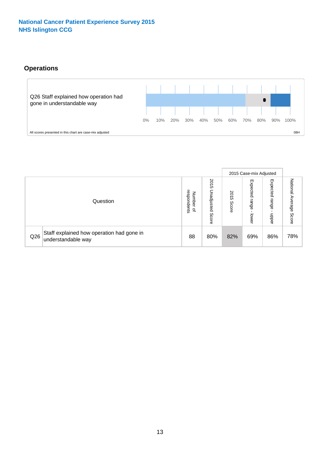## **Operations**



|     |                                                                 |                                              |                             |               | 2015 Case-mix Adjusted     |                           |                              |
|-----|-----------------------------------------------------------------|----------------------------------------------|-----------------------------|---------------|----------------------------|---------------------------|------------------------------|
|     | Question                                                        | respondents<br>Number<br>$\overline{\sigma}$ | 2015<br>Unadjusted<br>Score | 2015<br>Score | Expected<br>range<br>lower | Expected<br>range<br>dddn | National<br>Average<br>Score |
| Q26 | Staff explained how operation had gone in<br>understandable way | 88                                           | 80%                         | 82%           | 69%                        | 86%                       | 78%                          |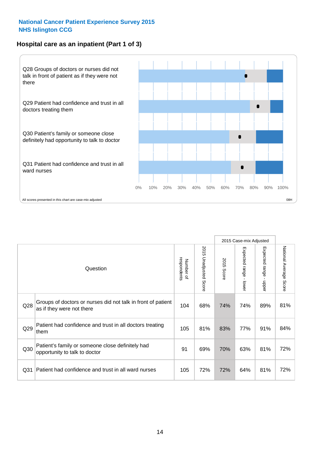## **Hospital care as an inpatient (Part 1 of 3)**



All scores presented in this chart are case-mix adjusted (08H) and the extent of the second of the second of the second of the second of the second of the second of the second of the second of the second of the second of t

|                 |                                                                                           |                          |                                 |               | 2015 Case-mix Adjusted                  |                           |                        |
|-----------------|-------------------------------------------------------------------------------------------|--------------------------|---------------------------------|---------------|-----------------------------------------|---------------------------|------------------------|
|                 | Question                                                                                  | respondents<br>Number of | 2015<br><b>Unadjusted Score</b> | 2015<br>Score | Expected range<br>$\mathbf{r}$<br>lower | Expected range<br>- nbber | National Average Score |
| Q28             | Groups of doctors or nurses did not talk in front of patient<br>as if they were not there | 104                      | 68%                             | 74%           | 74%                                     | 89%                       | 81%                    |
| Q29             | Patient had confidence and trust in all doctors treating<br>them                          | 105                      | 81%                             | 83%           | 77%                                     | 91%                       | 84%                    |
| Q30             | Patient's family or someone close definitely had<br>opportunity to talk to doctor         | 91                       | 69%                             | 70%           | 63%                                     | 81%                       | 72%                    |
| Q <sub>31</sub> | Patient had confidence and trust in all ward nurses                                       | 105                      | 72%                             | 72%           | 64%                                     | 81%                       | 72%                    |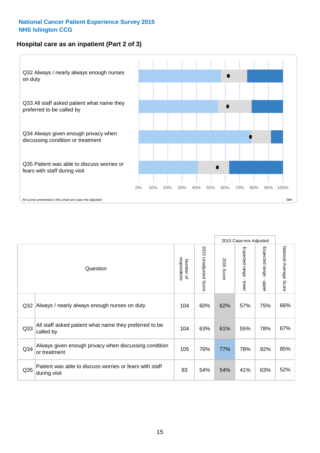## **Hospital care as an inpatient (Part 2 of 3)**



|                 |                                                                         |                          |                          |               | 2015 Case-mix Adjusted                  |                                           |                        |
|-----------------|-------------------------------------------------------------------------|--------------------------|--------------------------|---------------|-----------------------------------------|-------------------------------------------|------------------------|
|                 | Question                                                                | respondents<br>Number of | 2015<br>Unadjusted Score | 2015<br>Score | Expected range<br>$\mathbf{r}$<br>lower | Expected range<br>$\blacksquare$<br>nbber | National Average Score |
| Q <sub>32</sub> | Always / nearly always enough nurses on duty                            | 104                      | 60%                      | 62%           | 57%                                     | 75%                                       | 66%                    |
| Q <sub>33</sub> | All staff asked patient what name they preferred to be<br>called by     | 104                      | 63%                      | 61%           | 55%                                     | 78%                                       | 67%                    |
| Q <sub>34</sub> | Always given enough privacy when discussing condition<br>or treatment   | 105                      | 76%                      | 77%           | 78%                                     | 92%                                       | 85%                    |
| Q35             | Patient was able to discuss worries or fears with staff<br>during visit | 83                       | 54%                      | 54%           | 41%                                     | 63%                                       | 52%                    |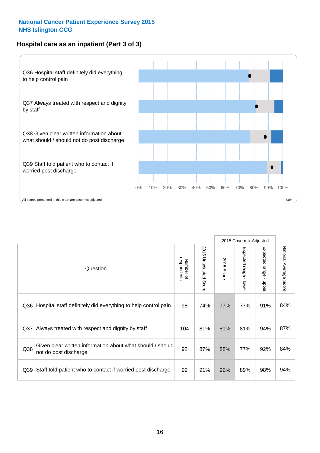## **Hospital care as an inpatient (Part 3 of 3)**



|                 |                                                                                     |                          |                                 |               | 2015 Case-mix Adjusted                    |                           |                        |
|-----------------|-------------------------------------------------------------------------------------|--------------------------|---------------------------------|---------------|-------------------------------------------|---------------------------|------------------------|
|                 | Question                                                                            | respondents<br>Number of | 2015<br><b>Unadjusted Score</b> | 2015<br>Score | Expected range<br>$\blacksquare$<br>lower | Expected range -<br>nbber | National Average Score |
| Q36             | Hospital staff definitely did everything to help control pain                       | 98                       | 74%                             | 77%           | 77%                                       | 91%                       | 84%                    |
| Q37             | Always treated with respect and dignity by staff                                    | 104                      | 81%                             | 81%           | 81%                                       | 94%                       | 87%                    |
| Q38             | Given clear written information about what should / should<br>not do post discharge | 92                       | 87%                             | 88%           | 77%                                       | 92%                       | 84%                    |
| Q <sub>39</sub> | Staff told patient who to contact if worried post discharge                         | 99                       | 91%                             | 92%           | 89%                                       | 98%                       | 94%                    |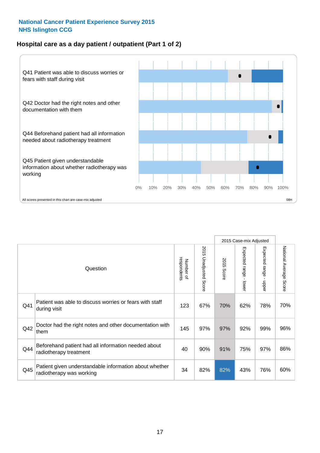## **Hospital care as a day patient / outpatient (Part 1 of 2)**



|     |                                                                                    |                          |                                 | 2015 Case-mix Adjusted |                                         |                                         |                        |
|-----|------------------------------------------------------------------------------------|--------------------------|---------------------------------|------------------------|-----------------------------------------|-----------------------------------------|------------------------|
|     | Question                                                                           | respondents<br>Number of | 2015<br><b>Unadjusted Score</b> | 2015<br><b>Score</b>   | Expected range<br>$\mathbf{r}$<br>lower | Expected range<br>$\mathbf{I}$<br>nbber | National Average Score |
| Q41 | Patient was able to discuss worries or fears with staff<br>during visit            | 123                      | 67%                             | 70%                    | 62%                                     | 78%                                     | 70%                    |
| Q42 | Doctor had the right notes and other documentation with<br>them                    | 145                      | 97%                             | 97%                    | 92%                                     | 99%                                     | 96%                    |
| Q44 | Beforehand patient had all information needed about<br>radiotherapy treatment      | 40                       | 90%                             | 91%                    | 75%                                     | 97%                                     | 86%                    |
| Q45 | Patient given understandable information about whether<br>radiotherapy was working | 34                       | 82%                             | 82%                    | 43%                                     | 76%                                     | 60%                    |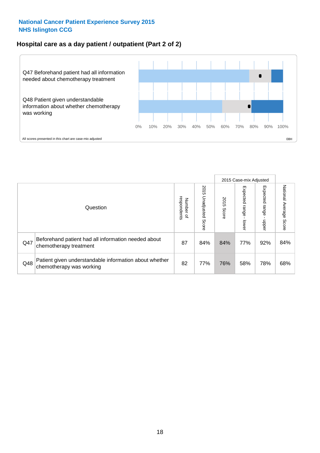## **Hospital care as a day patient / outpatient (Part 2 of 2)**



|     |                                                                                    |                                       |                             | 2015 Case-mix Adjusted |                             |                         |                           |
|-----|------------------------------------------------------------------------------------|---------------------------------------|-----------------------------|------------------------|-----------------------------|-------------------------|---------------------------|
|     | Question                                                                           | respondents<br>Number<br>$\mathbf{Q}$ | 2015<br>Unadjusted<br>Score | 2015<br>Score          | Expected<br>Irange<br>lower | Expected range<br>doper | National Average<br>Score |
| Q47 | Beforehand patient had all information needed about<br>chemotherapy treatment      | 87                                    | 84%                         | 84%                    | 77%                         | 92%                     | 84%                       |
| Q48 | Patient given understandable information about whether<br>chemotherapy was working | 82                                    | 77%                         | 76%                    | 58%                         | 78%                     | 68%                       |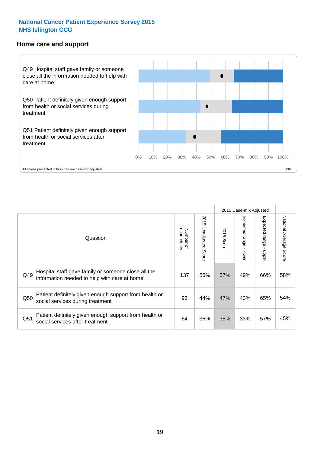#### **Home care and support**



All scores presented in this chart are case-mix adjusted

|                 |                                                                                                     |                          |                          |               | 2015 Case-mix Adjusted  |                         |                        |
|-----------------|-----------------------------------------------------------------------------------------------------|--------------------------|--------------------------|---------------|-------------------------|-------------------------|------------------------|
|                 | Question                                                                                            | respondents<br>Number of | 2015<br>Unadjusted Score | 2015<br>Score | Expected range<br>lower | Expected range<br>nbbeu | National Average Score |
| Q49             | Hospital staff gave family or someone close all the<br>information needed to help with care at home | 137                      | 56%                      | 57%           | 49%                     | 66%                     | 58%                    |
| Q50             | Patient definitely given enough support from health or<br>social services during treatment          | 93                       | 44%                      | 47%           | 43%                     | 65%                     | 54%                    |
| Q <sub>51</sub> | Patient definitely given enough support from health or<br>social services after treatment           | 64                       | 36%                      | 38%           | 33%                     | 57%                     | 45%                    |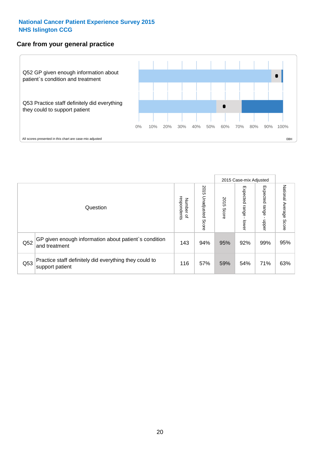## **Care from your general practice**



|     |                                                                           |                                       |                             | 2015 Case-mix Adjusted |                              |                            |                           |
|-----|---------------------------------------------------------------------------|---------------------------------------|-----------------------------|------------------------|------------------------------|----------------------------|---------------------------|
|     | Question                                                                  | respondents<br>Number<br>$\mathbf{Q}$ | 2015<br>Unadjusted<br>Score | 2015<br>Score          | Expected<br>I range<br>lower | Expected<br>range<br>dpper | National Average<br>Score |
| Q52 | GP given enough information about patient's condition<br>and treatment    | 143                                   | 94%                         | 95%                    | 92%                          | 99%                        | 95%                       |
| Q53 | Practice staff definitely did everything they could to<br>support patient | 116                                   | 57%                         | 59%                    | 54%                          | 71%                        | 63%                       |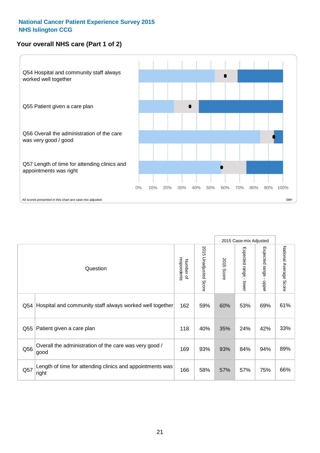## **Your overall NHS care (Part 1 of 2)**



|     |                                                                    |                          |                       | 2015 Case-mix Adjusted |                                           |                                           |                        |
|-----|--------------------------------------------------------------------|--------------------------|-----------------------|------------------------|-------------------------------------------|-------------------------------------------|------------------------|
|     | Question                                                           | respondents<br>Number of | 2015 Unadjusted Score | 2015<br><b>Score</b>   | Expected range<br>$\blacksquare$<br>lower | Expected range<br>$\blacksquare$<br>nbber | National Average Score |
| Q54 | Hospital and community staff always worked well together           | 162                      | 59%                   | 60%                    | 53%                                       | 69%                                       | 61%                    |
| Q55 | Patient given a care plan                                          | 118                      | 40%                   | 35%                    | 24%                                       | 42%                                       | 33%                    |
| Q56 | Overall the administration of the care was very good /<br>good     | 169                      | 93%                   | 93%                    | 84%                                       | 94%                                       | 89%                    |
| Q57 | Length of time for attending clinics and appointments was<br>right | 166                      | 58%                   | 57%                    | 57%                                       | 75%                                       | 66%                    |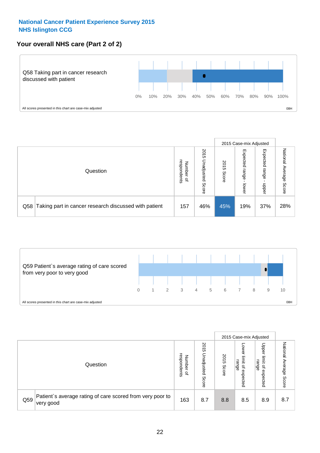## **Your overall NHS care (Part 2 of 2)**



|     |                                                       |                                              |                             |               |                            | 2015 Case-mix Adjusted     |                        |
|-----|-------------------------------------------------------|----------------------------------------------|-----------------------------|---------------|----------------------------|----------------------------|------------------------|
|     | Question                                              | respondents<br>Number<br>$\overline{\sigma}$ | 2015<br>Unadjusted<br>Score | 2015<br>Score | Expected<br>range<br>lower | Expected<br>range<br>doper | National Average Score |
| Q58 | Taking part in cancer research discussed with patient | 157                                          | 46%                         | 45%           | 19%                        | 37%                        | 28%                    |



|     |                                                                        |                                              |                             | 2015 Case-mix Adjusted |                                           |                                                       |                              |
|-----|------------------------------------------------------------------------|----------------------------------------------|-----------------------------|------------------------|-------------------------------------------|-------------------------------------------------------|------------------------------|
|     | Question                                                               | respondents<br>Number<br>$\overline{\sigma}$ | 2015<br>Unadjusted<br>Score | 2015<br>Score          | OWer<br>limit<br>range<br>਼੍ਰ<br>expected | Upper<br>limit<br>range<br>$\overline{a}$<br>expected | National<br>Average<br>Score |
| Q59 | Patient's average rating of care scored from very poor to<br>very good | 163                                          | 8.7                         | 8.8                    | 8.5                                       | 8.9                                                   | 8.7                          |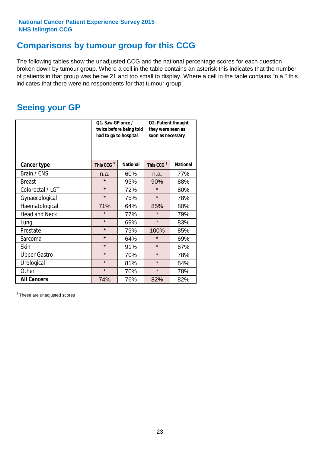## **Comparisons by tumour group for this CCG**

The following tables show the unadjusted CCG and the national percentage scores for each question broken down by tumour group. Where a cell in the table contains an asterisk this indicates that the number of patients in that group was below 21 and too small to display. Where a cell in the table contains "n.a." this indicates that there were no respondents for that tumour group.

## **Seeing your GP**

|                      | Q1. Saw GP once /<br>had to go to hospital | twice before being told | Q2. Patient thought<br>they were seen as<br>soon as necessary |                 |  |
|----------------------|--------------------------------------------|-------------------------|---------------------------------------------------------------|-----------------|--|
| <b>Cancer type</b>   | This CCG <sup>\$</sup>                     | <b>National</b>         | This CCG <sup>\$</sup>                                        | <b>National</b> |  |
| Brain / CNS          | n.a.                                       | 60%                     | n.a.                                                          | 77%             |  |
| <b>Breast</b>        | $\star$                                    | 93%                     | 90%                                                           | 88%             |  |
| Colorectal / LGT     | $\star$                                    | 72%                     | $\star$                                                       | 80%             |  |
| Gynaecological       | $\star$                                    | 75%                     | $\star$                                                       | 78%             |  |
| Haematological       | 71%                                        | 64%                     | 85%                                                           | 80%             |  |
| <b>Head and Neck</b> | $\star$                                    | 77%                     | $\star$                                                       | 79%             |  |
| Lung                 | $\star$                                    | 69%                     | $\star$                                                       | 83%             |  |
| Prostate             | $\star$                                    | 79%                     | 100%                                                          | 85%             |  |
| Sarcoma              | $\star$                                    | 64%                     | $\star$                                                       | 69%             |  |
| Skin                 | $\star$                                    | 91%                     | $\star$                                                       | 87%             |  |
| <b>Upper Gastro</b>  | $\star$                                    | 70%                     | $\star$                                                       | 78%             |  |
| Urological           | $\star$                                    | 81%                     | $\star$                                                       | 84%             |  |
| Other                | $\star$                                    | 70%                     | $\star$                                                       | 78%             |  |
| <b>All Cancers</b>   | 74%                                        | 76%                     | 82%                                                           | 82%             |  |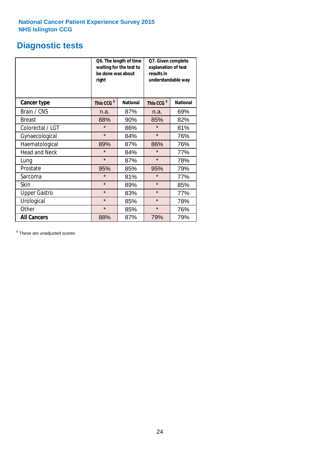## **Diagnostic tests**

|                      | be done was about<br>right | Q6. The length of time<br>waiting for the test to | Q7. Given complete<br>explanation of test<br>results in<br>understandable way |                 |  |
|----------------------|----------------------------|---------------------------------------------------|-------------------------------------------------------------------------------|-----------------|--|
| <b>Cancer type</b>   | This CCG <sup>\$</sup>     | <b>National</b>                                   | This CCG <sup>\$</sup>                                                        | <b>National</b> |  |
| Brain / CNS          | n.a.                       | 87%                                               | n.a.                                                                          | 69%             |  |
| <b>Breast</b>        | 88%                        | 90%                                               | 85%                                                                           | 82%             |  |
| Colorectal / LGT     | $\star$                    | 86%                                               | $\star$                                                                       | 81%             |  |
| Gynaecological       | $\star$                    | 84%                                               | $\star$                                                                       | 76%             |  |
| Haematological       | 89%                        | 87%                                               | 86%                                                                           | 76%             |  |
| <b>Head and Neck</b> | $\star$                    | 84%                                               | $\star$                                                                       | 77%             |  |
| Lung                 | $\star$                    | 87%                                               | $\star$                                                                       | 78%             |  |
| Prostate             | 95%                        | 85%                                               | 95%                                                                           | 79%             |  |
| Sarcoma              | $\star$                    | 81%                                               | $\star$                                                                       | 77%             |  |
| <b>Skin</b>          | $\star$                    | 89%                                               | $\star$                                                                       | 85%             |  |
| <b>Upper Gastro</b>  | $\star$                    | 83%                                               | $\star$                                                                       | 77%             |  |
| Urological           | $\star$                    | 85%                                               | $\star$                                                                       | 78%             |  |
| Other                | $\star$                    | 85%                                               | $\star$                                                                       | 76%             |  |
| <b>All Cancers</b>   | 88%                        | 87%                                               | 79%                                                                           | 79%             |  |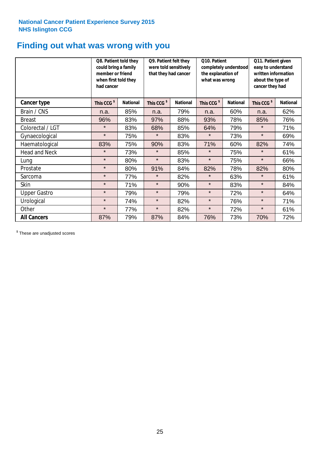## **Finding out what was wrong with you**

|                      | Q8. Patient told they<br>could bring a family<br>member or friend<br>when first told they<br>had cancer |                 | Q9. Patient felt they<br>were told sensitively<br>that they had cancer |                 | Q10. Patient<br>completely understood<br>the explanation of<br>what was wrong |                 | Q11. Patient given<br>easy to understand<br>written information<br>about the type of<br>cancer they had |                 |
|----------------------|---------------------------------------------------------------------------------------------------------|-----------------|------------------------------------------------------------------------|-----------------|-------------------------------------------------------------------------------|-----------------|---------------------------------------------------------------------------------------------------------|-----------------|
| Cancer type          | This CCG <sup>\$</sup>                                                                                  | <b>National</b> | This CCG <sup>\$</sup>                                                 | <b>National</b> | This CCG <sup>\$</sup>                                                        | <b>National</b> | This CCG <sup>\$</sup>                                                                                  | <b>National</b> |
| Brain / CNS          | n.a.                                                                                                    | 85%             | n.a.                                                                   | 79%             | n.a.                                                                          | 60%             | n.a.                                                                                                    | 62%             |
| <b>Breast</b>        | 96%                                                                                                     | 83%             | 97%                                                                    | 88%             | 93%                                                                           | 78%             | 85%                                                                                                     | 76%             |
| Colorectal / LGT     | $\star$                                                                                                 | 83%             | 68%                                                                    | 85%             | 64%                                                                           | 79%             | $\star$                                                                                                 | 71%             |
| Gynaecological       | $\star$                                                                                                 | 75%             | $\star$                                                                | 83%             | $\star$                                                                       | 73%             | $\star$                                                                                                 | 69%             |
| Haematological       | 83%                                                                                                     | 75%             | 90%                                                                    | 83%             | 71%                                                                           | 60%             | 82%                                                                                                     | 74%             |
| <b>Head and Neck</b> | $\star$                                                                                                 | 73%             | $\star$                                                                | 85%             | $\star$                                                                       | 75%             | $\star$                                                                                                 | 61%             |
| Lung                 | $\star$                                                                                                 | 80%             | $\star$                                                                | 83%             | $\star$                                                                       | 75%             | $\star$                                                                                                 | 66%             |
| Prostate             | $\star$                                                                                                 | 80%             | 91%                                                                    | 84%             | 82%                                                                           | 78%             | 82%                                                                                                     | 80%             |
| Sarcoma              | $\star$                                                                                                 | 77%             | $\star$                                                                | 82%             | $\star$                                                                       | 63%             | $\star$                                                                                                 | 61%             |
| Skin                 | $\star$                                                                                                 | 71%             | $\star$                                                                | 90%             | $\star$                                                                       | 83%             | $\star$                                                                                                 | 84%             |
| <b>Upper Gastro</b>  | $\star$                                                                                                 | 79%             | $\star$                                                                | 79%             | $\star$                                                                       | 72%             | $\star$                                                                                                 | 64%             |
| Urological           | $\star$                                                                                                 | 74%             | $\star$                                                                | 82%             | $\star$                                                                       | 76%             | $\star$                                                                                                 | 71%             |
| Other                | $\star$                                                                                                 | 77%             | $\star$                                                                | 82%             | $\star$                                                                       | 72%             | $\star$                                                                                                 | 61%             |
| <b>All Cancers</b>   | 87%                                                                                                     | 79%             | 87%                                                                    | 84%             | 76%                                                                           | 73%             | 70%                                                                                                     | 72%             |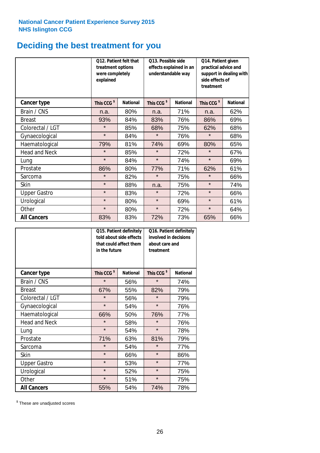## **Deciding the best treatment for you**

|                      | treatment options<br>were completely<br>explained | 012. Patient felt that | O13. Possible side<br>effects explained in an<br>understandable way |                 | Q14. Patient given<br>practical advice and<br>support in dealing with<br>side effects of<br>treatment |                 |  |
|----------------------|---------------------------------------------------|------------------------|---------------------------------------------------------------------|-----------------|-------------------------------------------------------------------------------------------------------|-----------------|--|
| <b>Cancer type</b>   | This CCG <sup>\$</sup>                            | <b>National</b>        | This CCG <sup>\$</sup>                                              | <b>National</b> | This CCG <sup>\$</sup>                                                                                | <b>National</b> |  |
| Brain / CNS          | n.a.                                              | 80%                    | n.a.                                                                | 71%             | n.a.                                                                                                  | 62%             |  |
| <b>Breast</b>        | 93%                                               | 84%                    | 83%                                                                 | 76%             | 86%                                                                                                   | 69%             |  |
| Colorectal / LGT     | $\star$                                           | 85%                    | 68%                                                                 | 75%             | 62%                                                                                                   | 68%             |  |
| Gynaecological       | $\star$                                           | 84%                    | $\star$                                                             | 76%             | $\star$                                                                                               | 68%             |  |
| Haematological       | 79%                                               | 81%                    | 74%                                                                 | 69%             | 80%                                                                                                   | 65%             |  |
| <b>Head and Neck</b> | $\star$                                           | 85%                    | $\star$                                                             | 72%             | $\star$                                                                                               | 67%             |  |
| Lung                 | $\star$                                           | 84%                    | $\star$                                                             | 74%             | $\star$                                                                                               | 69%             |  |
| Prostate             | 86%                                               | 80%                    | 77%                                                                 | 71%             | 62%                                                                                                   | 61%             |  |
| Sarcoma              | $\star$                                           | 82%                    | $\star$                                                             | 75%             | $\star$                                                                                               | 66%             |  |
| Skin                 | $\star$                                           | 88%                    | n.a.                                                                | 75%             | $\star$                                                                                               | 74%             |  |
| <b>Upper Gastro</b>  | $\star$                                           | 83%                    | $\star$                                                             | 72%             | $\star$                                                                                               | 66%             |  |
| Urological           | $\star$                                           | 80%                    | $\star$                                                             | 69%             | $\star$                                                                                               | 61%             |  |
| Other                | $\star$                                           | 80%                    | $\star$                                                             | 72%             | $\star$                                                                                               | 64%             |  |
| <b>All Cancers</b>   | 83%                                               | 83%                    | 72%                                                                 | 73%             | 65%                                                                                                   | 66%             |  |

|                      | in the future          | Q15. Patient definitely<br>told about side effects<br>that could affect them | Q16. Patient definitely<br>involved in decisions<br>about care and<br>treatment |                 |  |
|----------------------|------------------------|------------------------------------------------------------------------------|---------------------------------------------------------------------------------|-----------------|--|
| <b>Cancer type</b>   | This CCG <sup>\$</sup> | <b>National</b>                                                              | This CCG <sup>\$</sup>                                                          | <b>National</b> |  |
| Brain / CNS          | $\star$                | 56%                                                                          | $\star$                                                                         | 74%             |  |
| <b>Breast</b>        | 67%                    | 55%                                                                          | 82%                                                                             | 79%             |  |
| Colorectal / LGT     | $\star$                | 56%                                                                          | $\star$                                                                         | 79%             |  |
| Gynaecological       | $\star$<br>54%         |                                                                              | $\star$                                                                         | 76%             |  |
| Haematological       | 66%                    | 50%                                                                          | 76%                                                                             | 77%             |  |
| <b>Head and Neck</b> | $\star$                | 58%                                                                          | $\star$                                                                         | 76%             |  |
| Lung                 | $\star$                | 54%                                                                          | $\star$                                                                         | 78%             |  |
| Prostate             | 71%                    | 63%                                                                          | 81%                                                                             | 79%             |  |
| Sarcoma              | $\star$                | 54%                                                                          | $\star$                                                                         | 77%             |  |
| Skin                 | $\star$                | 66%                                                                          | $\star$                                                                         | 86%             |  |
| <b>Upper Gastro</b>  | $\star$                | 53%                                                                          | $\star$                                                                         | 77%             |  |
| Urological           | $\star$                | 52%                                                                          | $\star$                                                                         | 75%             |  |
| Other                | $\star$                | 51%                                                                          | $\star$                                                                         | 75%             |  |
| <b>All Cancers</b>   | 55%                    | 54%                                                                          | 74%                                                                             | 78%             |  |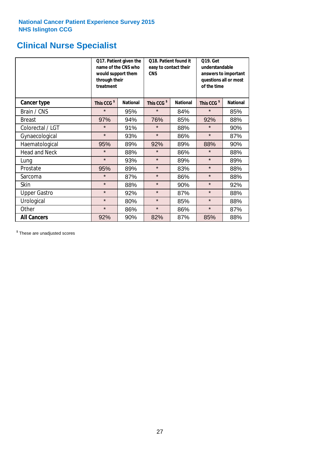## **Clinical Nurse Specialist**

|                      | would support them<br>through their<br>treatment | Q17. Patient given the<br>name of the CNS who | Q18. Patient found it<br>easy to contact their<br><b>CNS</b> |     | <b>Q19. Get</b><br>understandable<br>answers to important<br>questions all or most<br>of the time |                 |
|----------------------|--------------------------------------------------|-----------------------------------------------|--------------------------------------------------------------|-----|---------------------------------------------------------------------------------------------------|-----------------|
| <b>Cancer type</b>   | This CCG <sup>\$</sup>                           | <b>National</b>                               | This CCG <sup>\$</sup><br><b>National</b>                    |     | This CCG <sup>\$</sup>                                                                            | <b>National</b> |
| Brain / CNS          | $\star$                                          | 95%                                           | $\star$                                                      | 84% | $\star$                                                                                           | 85%             |
| <b>Breast</b>        | 97%                                              | 94%                                           | 76%                                                          | 85% | 92%                                                                                               | 88%             |
| Colorectal / LGT     | $\star$                                          | 91%                                           | $\star$                                                      | 88% | $\star$                                                                                           | 90%             |
| Gynaecological       | $\star$                                          | 93%                                           | $\star$                                                      | 86% | $\star$                                                                                           | 87%             |
| Haematological       | 95%                                              | 89%                                           | 92%                                                          | 89% | 88%                                                                                               | 90%             |
| <b>Head and Neck</b> | $\star$                                          | 88%                                           | $\star$                                                      | 86% | $\star$                                                                                           | 88%             |
| Lung                 | $\star$                                          | 93%                                           | $\star$                                                      | 89% | $\star$                                                                                           | 89%             |
| Prostate             | 95%                                              | 89%                                           | $\star$                                                      | 83% | $\star$                                                                                           | 88%             |
| Sarcoma              | $\star$                                          | 87%                                           | $\star$                                                      | 86% | $\star$                                                                                           | 88%             |
| Skin                 | $\star$                                          | 88%                                           | $\star$                                                      | 90% | $\star$                                                                                           | 92%             |
| <b>Upper Gastro</b>  | $\star$                                          | 92%                                           | $\star$                                                      | 87% | $\star$                                                                                           | 88%             |
| Urological           | $\star$                                          | 80%                                           | $\star$                                                      | 85% | $\star$                                                                                           | 88%             |
| Other                | $\star$                                          | 86%                                           | $\star$                                                      | 86% | $\star$                                                                                           | 87%             |
| <b>All Cancers</b>   | 92%                                              | 90%                                           | 82%                                                          | 87% | 85%                                                                                               | 88%             |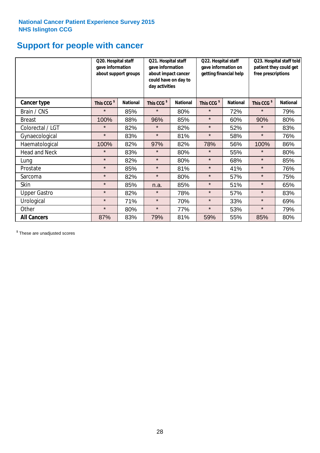## **Support for people with cancer**

|                      | Q20. Hospital staff<br>gave information<br>about support groups |                 | Q21. Hospital staff<br>gave information<br>about impact cancer<br>could have on day to<br>day activities |                 |                        | Q22. Hospital staff<br>gave information on<br>getting financial help |                        | Q23. Hospital staff told<br>patient they could get<br>free prescriptions |  |
|----------------------|-----------------------------------------------------------------|-----------------|----------------------------------------------------------------------------------------------------------|-----------------|------------------------|----------------------------------------------------------------------|------------------------|--------------------------------------------------------------------------|--|
| Cancer type          | This CCG <sup>\$</sup>                                          | <b>National</b> | This CCG <sup>\$</sup>                                                                                   | <b>National</b> | This CCG <sup>\$</sup> | <b>National</b>                                                      | This CCG <sup>\$</sup> | <b>National</b>                                                          |  |
| Brain / CNS          | $\star$                                                         | 85%             | $\star$                                                                                                  | 80%             | $\star$                | 72%                                                                  | $\star$                | 79%                                                                      |  |
| <b>Breast</b>        | 100%                                                            | 88%             | 96%                                                                                                      | 85%             | $\star$                | 60%                                                                  | 90%                    | 80%                                                                      |  |
| Colorectal / LGT     | $\star$                                                         | 82%             | $\star$                                                                                                  | 82%             | $\star$                | 52%                                                                  | $\star$                | 83%                                                                      |  |
| Gynaecological       | $\star$                                                         | 83%             | $\star$                                                                                                  | 81%             | $\star$                | 58%                                                                  | $\star$                | 76%                                                                      |  |
| Haematological       | 100%                                                            | 82%             | 97%                                                                                                      | 82%             | 78%                    | 56%                                                                  | 100%                   | 86%                                                                      |  |
| <b>Head and Neck</b> | $\star$                                                         | 83%             | $\star$                                                                                                  | 80%             | $\star$                | 55%                                                                  | $\star$                | 80%                                                                      |  |
| Lung                 | $\star$                                                         | 82%             | $\star$                                                                                                  | 80%             | $\star$                | 68%                                                                  | $\star$                | 85%                                                                      |  |
| Prostate             | $\star$                                                         | 85%             | $\star$                                                                                                  | 81%             | $\star$                | 41%                                                                  | $\star$                | 76%                                                                      |  |
| Sarcoma              | $\star$                                                         | 82%             | $\star$                                                                                                  | 80%             | $\star$                | 57%                                                                  | $\star$                | 75%                                                                      |  |
| Skin                 | $\star$                                                         | 85%             | n.a.                                                                                                     | 85%             | $\star$                | 51%                                                                  | $\star$                | 65%                                                                      |  |
| <b>Upper Gastro</b>  | $\star$                                                         | 82%             | $\star$                                                                                                  | 78%             | $\star$                | 57%                                                                  | $\star$                | 83%                                                                      |  |
| Urological           | $\star$                                                         | 71%             | $\star$                                                                                                  | 70%             | $\star$                | 33%                                                                  | $\star$                | 69%                                                                      |  |
| Other                | $\star$                                                         | 80%             | $\star$                                                                                                  | 77%             | $\star$                | 53%                                                                  | $\star$                | 79%                                                                      |  |
| <b>All Cancers</b>   | 87%                                                             | 83%             | 79%                                                                                                      | 81%             | 59%                    | 55%                                                                  | 85%                    | 80%                                                                      |  |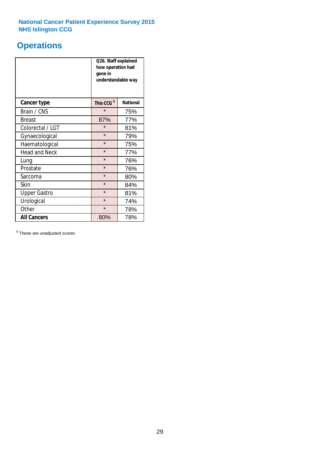## **Operations**

|                      | Q26. Staff explained<br>how operation had<br>gone in<br>understandable way |                 |  |  |  |
|----------------------|----------------------------------------------------------------------------|-----------------|--|--|--|
| <b>Cancer type</b>   | This CCG <sup>\$</sup>                                                     | <b>National</b> |  |  |  |
| Brain / CNS          | $\star$                                                                    | 75%             |  |  |  |
| <b>Breast</b>        | 87%                                                                        | 77%             |  |  |  |
| Colorectal / LGT     | $\star$                                                                    | 81%             |  |  |  |
| Gynaecological       | $\star$                                                                    | 79%             |  |  |  |
| Haematological       | $\star$<br>75%                                                             |                 |  |  |  |
| <b>Head and Neck</b> | $\star$                                                                    | 77%             |  |  |  |
| Lung                 | $\star$                                                                    | 76%             |  |  |  |
| Prostate             | $\star$                                                                    | 76%             |  |  |  |
| Sarcoma              | $\star$                                                                    | 80%             |  |  |  |
| Skin                 | $\star$                                                                    | 84%             |  |  |  |
| <b>Upper Gastro</b>  | $\star$                                                                    | 81%             |  |  |  |
| Urological           | $\star$                                                                    | 74%             |  |  |  |
| Other                | $\star$<br>78%                                                             |                 |  |  |  |
| <b>All Cancers</b>   | 78%<br>80%                                                                 |                 |  |  |  |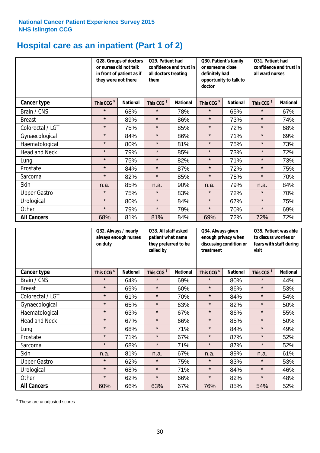## **Hospital care as an inpatient (Part 1 of 2)**

|                      | or nurses did not talk<br>they were not there | Q28. Groups of doctors<br>Q29. Patient had<br>confidence and trust in<br>in front of patient as if<br>all doctors treating<br>them |                        | Q30. Patient's family<br>or someone close<br>definitely had<br>opportunity to talk to<br>doctor |                        | Q31. Patient had<br>confidence and trust in I<br>all ward nurses |                        |                 |
|----------------------|-----------------------------------------------|------------------------------------------------------------------------------------------------------------------------------------|------------------------|-------------------------------------------------------------------------------------------------|------------------------|------------------------------------------------------------------|------------------------|-----------------|
| Cancer type          | This CCG <sup>\$</sup>                        | <b>National</b>                                                                                                                    | This CCG <sup>\$</sup> | <b>National</b>                                                                                 | This CCG <sup>\$</sup> | <b>National</b>                                                  | This CCG <sup>\$</sup> | <b>National</b> |
| Brain / CNS          | $\star$                                       | 68%                                                                                                                                | $\star$                | 78%                                                                                             | $\star$                | 65%                                                              | $\star$                | 67%             |
| <b>Breast</b>        | $\star$                                       | 89%                                                                                                                                | $\star$                | 86%                                                                                             | $\star$                | 73%                                                              | $\star$                | 74%             |
| Colorectal / LGT     | $\star$                                       | 75%                                                                                                                                | $\star$                | 85%                                                                                             | $\star$                | 72%                                                              | $\star$                | 68%             |
| Gynaecological       | $\star$                                       | 84%                                                                                                                                | $\star$                | 86%                                                                                             | $\star$                | 71%                                                              | $\star$                | 69%             |
| Haematological       | $\star$                                       | 80%                                                                                                                                | $\star$                | 81%                                                                                             | $\star$                | 75%                                                              | $\star$                | 73%             |
| <b>Head and Neck</b> | $\star$                                       | 79%                                                                                                                                | $\star$                | 85%                                                                                             | $\star$                | 73%                                                              | $\star$                | 72%             |
| Lung                 | $\star$                                       | 75%                                                                                                                                | $\star$                | 82%                                                                                             | $\star$                | 71%                                                              | $\star$                | 73%             |
| Prostate             | $\star$                                       | 84%                                                                                                                                | $\star$                | 87%                                                                                             | $\star$                | 72%                                                              | $\star$                | 75%             |
| Sarcoma              | $\star$                                       | 82%                                                                                                                                | $\star$                | 85%                                                                                             | $\star$                | 75%                                                              | $\star$                | 70%             |
| Skin                 | n.a.                                          | 85%                                                                                                                                | n.a.                   | 90%                                                                                             | n.a.                   | 79%                                                              | n.a.                   | 84%             |
| <b>Upper Gastro</b>  | $\star$                                       | 75%                                                                                                                                | $\star$                | 83%                                                                                             | $\star$                | 72%                                                              | $\star$                | 70%             |
| Urological           | $\star$                                       | 80%                                                                                                                                | $\star$                | 84%                                                                                             | $\star$                | 67%                                                              | $\star$                | 75%             |
| Other                | $\star$                                       | 79%                                                                                                                                | $\star$                | 79%                                                                                             | $\star$                | 70%                                                              | $\star$                | 69%             |
| <b>All Cancers</b>   | 68%                                           | 81%                                                                                                                                | 81%                    | 84%                                                                                             | 69%                    | 72%                                                              | 72%                    | 72%             |

|                      | on duty                | Q32. Always / nearly<br>always enough nurses<br>called by |                        | Q33. All staff asked<br>patient what name<br>they preferred to be | Q34. Always given<br>enough privacy when<br>discussing condition or<br>treatment |                 | Q35. Patient was able<br>to discuss worries or<br>fears with staff during<br>visit |                 |
|----------------------|------------------------|-----------------------------------------------------------|------------------------|-------------------------------------------------------------------|----------------------------------------------------------------------------------|-----------------|------------------------------------------------------------------------------------|-----------------|
| <b>Cancer type</b>   | This CCG <sup>\$</sup> | <b>National</b>                                           | This CCG <sup>\$</sup> | <b>National</b>                                                   | This CCG <sup>\$</sup>                                                           | <b>National</b> | This CCG <sup>\$</sup>                                                             | <b>National</b> |
| Brain / CNS          | $\star$                | 64%                                                       | $\star$                | 69%                                                               | $\star$                                                                          | 80%             | $\star$                                                                            | 44%             |
| <b>Breast</b>        | $\star$                | 69%                                                       | $\star$                | 60%                                                               | $\star$                                                                          | 86%             | $\star$                                                                            | 53%             |
| Colorectal / LGT     | $\star$                | 61%                                                       | $\star$                | 70%                                                               | $\star$                                                                          | 84%             | $\star$                                                                            | 54%             |
| Gynaecological       | $\star$                | 65%                                                       | $\star$                | 63%                                                               | $\star$                                                                          | 82%             | $\star$                                                                            | 50%             |
| Haematological       | $\star$                | 63%                                                       | $\star$                | 67%                                                               | $\star$                                                                          | 86%             | $\star$                                                                            | 55%             |
| <b>Head and Neck</b> | $\star$                | 67%                                                       | $\star$                | 66%                                                               | $\star$                                                                          | 85%             | $\star$                                                                            | 50%             |
| Lung                 | $\star$                | 68%                                                       | $\star$                | 71%                                                               | $\star$                                                                          | 84%             | $\star$                                                                            | 49%             |
| Prostate             | $\star$                | 71%                                                       | $\star$                | 67%                                                               | $\star$                                                                          | 87%             | $\star$                                                                            | 52%             |
| Sarcoma              | $\star$                | 68%                                                       | $\star$                | 71%                                                               | $\star$                                                                          | 87%             | $\star$                                                                            | 52%             |
| Skin                 | n.a.                   | 81%                                                       | n.a.                   | 67%                                                               | n.a.                                                                             | 89%             | n.a.                                                                               | 61%             |
| <b>Upper Gastro</b>  | $\star$                | 62%                                                       | $\star$                | 75%                                                               | $\star$                                                                          | 83%             | $\star$                                                                            | 53%             |
| Urological           | $\star$                | 68%                                                       | $\star$                | 71%                                                               | $\star$                                                                          | 84%             | $\star$                                                                            | 46%             |
| Other                | $\star$                | 62%                                                       | $\star$                | 66%                                                               | $\star$                                                                          | 82%             | $\star$                                                                            | 48%             |
| <b>All Cancers</b>   | 60%                    | 66%                                                       | 63%                    | 67%                                                               | 76%                                                                              | 85%             | 54%                                                                                | 52%             |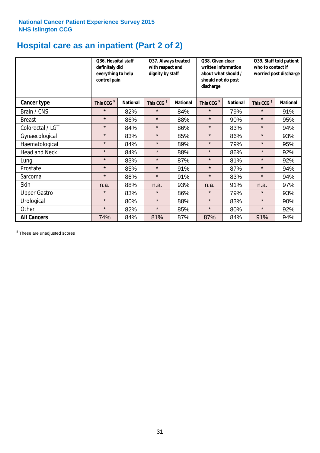## **Hospital care as an inpatient (Part 2 of 2)**

|                      | Q36. Hospital staff<br>definitely did<br>everything to help<br>control pain |                 | Q37. Always treated<br>with respect and<br>dignity by staff |                 | Q38. Given clear<br>written information<br>about what should /<br>should not do post<br>discharge |                 | Q39. Staff told patient<br>who to contact if<br>worried post discharge |                 |  |
|----------------------|-----------------------------------------------------------------------------|-----------------|-------------------------------------------------------------|-----------------|---------------------------------------------------------------------------------------------------|-----------------|------------------------------------------------------------------------|-----------------|--|
| Cancer type          | This CCG <sup>\$</sup>                                                      | <b>National</b> | This CCG <sup>\$</sup>                                      | <b>National</b> | This CCG <sup>\$</sup>                                                                            | <b>National</b> | This CCG <sup>\$</sup>                                                 | <b>National</b> |  |
| Brain / CNS          | $\star$                                                                     | 82%             | $\star$                                                     | 84%             | $\star$                                                                                           | 79%             | $\star$                                                                | 91%             |  |
| <b>Breast</b>        | $\star$                                                                     | 86%             | $\star$                                                     | 88%             | $\star$                                                                                           | 90%             | $\star$                                                                | 95%             |  |
| Colorectal / LGT     | $\star$                                                                     | 84%             | $\star$                                                     | 86%             | $\star$                                                                                           | 83%             | $\star$                                                                | 94%             |  |
| Gynaecological       | $\star$                                                                     | 83%             | $\star$                                                     | 85%             | $\star$                                                                                           | 86%             | $\star$                                                                | 93%             |  |
| Haematological       | $\star$                                                                     | 84%             | $\star$                                                     | 89%             | $\star$                                                                                           | 79%             | $\star$                                                                | 95%             |  |
| <b>Head and Neck</b> | $\star$                                                                     | 84%             | $\star$                                                     | 88%             | $\star$                                                                                           | 86%             | $\star$                                                                | 92%             |  |
| Lung                 | $\star$                                                                     | 83%             | $\star$                                                     | 87%             | $\star$                                                                                           | 81%             | $\star$                                                                | 92%             |  |
| Prostate             | $\star$                                                                     | 85%             | $\star$                                                     | 91%             | $\star$                                                                                           | 87%             | $\star$                                                                | 94%             |  |
| Sarcoma              | $\star$                                                                     | 86%             | $\star$                                                     | 91%             | $\star$                                                                                           | 83%             | $\star$                                                                | 94%             |  |
| Skin                 | n.a.                                                                        | 88%             | n.a.                                                        | 93%             | n.a.                                                                                              | 91%             | n.a.                                                                   | 97%             |  |
| <b>Upper Gastro</b>  | $\star$                                                                     | 83%             | $\star$                                                     | 86%             | $\star$                                                                                           | 79%             | $\star$                                                                | 93%             |  |
| Urological           | $\star$                                                                     | 80%             | $\star$                                                     | 88%             | $\star$                                                                                           | 83%             | $\star$                                                                | 90%             |  |
| Other                | $\star$                                                                     | 82%             | $\star$                                                     | 85%             | $\star$                                                                                           | 80%             | $\star$                                                                | 92%             |  |
| <b>All Cancers</b>   | 74%                                                                         | 84%             | 81%                                                         | 87%             | 87%                                                                                               | 84%             | 91%                                                                    | 94%             |  |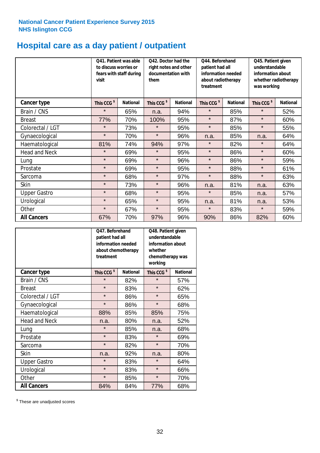## **Hospital care as a day patient / outpatient**

|                      | visit                  | Q42. Doctor had the<br>Q41. Patient was able<br>to discuss worries or<br>right notes and other<br>fears with staff during<br>documentation with<br>them |                        | Q44. Beforehand<br>patient had all<br>information needed<br>about radiotherapy<br>treatment |                        | Q45. Patient given<br>understandable<br>information about<br>whether radiotherapy<br>was working |                        |                 |
|----------------------|------------------------|---------------------------------------------------------------------------------------------------------------------------------------------------------|------------------------|---------------------------------------------------------------------------------------------|------------------------|--------------------------------------------------------------------------------------------------|------------------------|-----------------|
| Cancer type          | This CCG <sup>\$</sup> | <b>National</b>                                                                                                                                         | This CCG <sup>\$</sup> | <b>National</b>                                                                             | This CCG <sup>\$</sup> | <b>National</b>                                                                                  | This CCG <sup>\$</sup> | <b>National</b> |
| Brain / CNS          | $\star$                | 65%                                                                                                                                                     | n.a.                   | 94%                                                                                         | $\star$                | 85%                                                                                              | $\star$                | 52%             |
| <b>Breast</b>        | 77%                    | 70%                                                                                                                                                     | 100%                   | 95%                                                                                         | $\star$                | 87%                                                                                              | $\star$                | 60%             |
| Colorectal / LGT     | $\star$                | 73%                                                                                                                                                     | $\star$                | 95%                                                                                         | $\star$                | 85%                                                                                              | $\star$                | 55%             |
| Gynaecological       | $\star$                | 70%                                                                                                                                                     | $\star$                | 96%                                                                                         | n.a.                   | 85%                                                                                              | n.a.                   | 64%             |
| Haematological       | 81%                    | 74%                                                                                                                                                     | 94%                    | 97%                                                                                         | $\star$                | 82%                                                                                              | $\star$                | 64%             |
| <b>Head and Neck</b> | $\star$                | 69%                                                                                                                                                     | $\star$                | 95%                                                                                         | $\star$                | 86%                                                                                              | $\star$                | 60%             |
| Lung                 | $\star$                | 69%                                                                                                                                                     | $\star$                | 96%                                                                                         | $\star$                | 86%                                                                                              | $\star$                | 59%             |
| Prostate             | $\star$                | 69%                                                                                                                                                     | $\star$                | 95%                                                                                         | $\star$                | 88%                                                                                              | $\star$                | 61%             |
| Sarcoma              | $\star$                | 68%                                                                                                                                                     | $\star$                | 97%                                                                                         | $\star$                | 88%                                                                                              | $\star$                | 63%             |
| Skin                 | $\star$                | 73%                                                                                                                                                     | $\star$                | 96%                                                                                         | n.a.                   | 81%                                                                                              | n.a.                   | 63%             |
| <b>Upper Gastro</b>  | $\star$                | 68%                                                                                                                                                     | $\star$                | 95%                                                                                         | $\star$                | 85%                                                                                              | n.a.                   | 57%             |
| Urological           | $\star$                | 65%                                                                                                                                                     | $\star$                | 95%                                                                                         | n.a.                   | 81%                                                                                              | n.a.                   | 53%             |
| Other                | $\star$                | 67%                                                                                                                                                     | $\star$                | 95%                                                                                         | $\star$                | 83%                                                                                              | $\star$                | 59%             |
| <b>All Cancers</b>   | 67%                    | 70%                                                                                                                                                     | 97%                    | 96%                                                                                         | 90%                    | 86%                                                                                              | 82%                    | 60%             |

|                      | Q47. Beforehand<br>patient had all<br>information needed<br>about chemotherapy<br>treatment |                 | Q48. Patient given<br>understandable<br>information about<br>whether<br>chemotherapy was<br>working |                 |  |
|----------------------|---------------------------------------------------------------------------------------------|-----------------|-----------------------------------------------------------------------------------------------------|-----------------|--|
| <b>Cancer type</b>   | This CCG <sup>\$</sup>                                                                      | <b>National</b> | This CCG <sup>\$</sup>                                                                              | <b>National</b> |  |
| Brain / CNS          | $\star$                                                                                     | 82%             | $\star$                                                                                             | 57%             |  |
| <b>Breast</b>        | $\star$                                                                                     | 83%             | $\star$                                                                                             | 62%             |  |
| Colorectal / LGT     | $\star$                                                                                     | 86%             | $\star$                                                                                             | 65%             |  |
| Gynaecological       | $\star$                                                                                     | 86%             | $\star$                                                                                             | 68%             |  |
| Haematological       | 88%<br>85%                                                                                  |                 | 85%                                                                                                 | 75%             |  |
| <b>Head and Neck</b> | n.a.                                                                                        | 80%             | n.a.                                                                                                | 52%             |  |
| Lung                 | $\star$                                                                                     | 85%             | n.a.                                                                                                | 68%             |  |
| Prostate             | $\star$                                                                                     | 83%             | $\star$                                                                                             | 69%             |  |
| Sarcoma              | $\star$                                                                                     | 82%             | $\star$                                                                                             | 70%             |  |
| <b>Skin</b>          | n.a.                                                                                        | 92%             | n.a.                                                                                                | 80%             |  |
| <b>Upper Gastro</b>  | $\star$                                                                                     | 83%             | $\star$                                                                                             | 64%             |  |
| Urological           | $\star$                                                                                     | 83%             | $\star$                                                                                             | 66%             |  |
| Other                | $\star$                                                                                     | 85%             | $\star$                                                                                             | 70%             |  |
| <b>All Cancers</b>   | 84%                                                                                         | 84%             | 77%                                                                                                 | 68%             |  |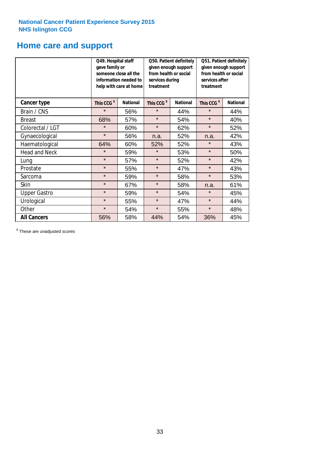## **Home care and support**

|                      | Q49. Hospital staff<br>gave family or | someone close all the<br>information needed to<br>help with care at home | Q50. Patient definitely<br>given enough support<br>from health or social<br>services during<br>treatment |                 | Q51. Patient definitely<br>given enough support<br>from health or social<br>services after<br>treatment |                 |
|----------------------|---------------------------------------|--------------------------------------------------------------------------|----------------------------------------------------------------------------------------------------------|-----------------|---------------------------------------------------------------------------------------------------------|-----------------|
| <b>Cancer type</b>   | This CCG <sup>\$</sup>                | <b>National</b>                                                          | This CCG <sup>\$</sup>                                                                                   | <b>National</b> | This CCG <sup>\$</sup>                                                                                  | <b>National</b> |
| Brain / CNS          | $\star$                               | 56%                                                                      | $\star$                                                                                                  | 44%             | $\star$                                                                                                 | 44%             |
| <b>Breast</b>        | 68%                                   | 57%                                                                      | $\star$                                                                                                  | 54%             | $\star$                                                                                                 | 40%             |
| Colorectal / LGT     | $\star$                               | 60%                                                                      | $\star$                                                                                                  | 62%             | $\star$                                                                                                 | 52%             |
| Gynaecological       | $\star$                               | 56%                                                                      | n.a.                                                                                                     | 52%             | n.a.                                                                                                    | 42%             |
| Haematological       | 64%                                   | 60%                                                                      | 52%                                                                                                      | 52%             | ¥                                                                                                       | 43%             |
| <b>Head and Neck</b> | $\star$                               | 59%                                                                      | $\star$                                                                                                  | 53%             | $\star$                                                                                                 | 50%             |
| Lung                 | $\star$                               | 57%                                                                      | $\star$                                                                                                  | 52%             | $\star$                                                                                                 | 42%             |
| Prostate             | $\star$                               | 55%                                                                      | $\star$                                                                                                  | 47%             | $\star$                                                                                                 | 43%             |
| Sarcoma              | $\star$                               | 59%                                                                      | $\star$                                                                                                  | 58%             | $\star$                                                                                                 | 53%             |
| Skin                 | $\star$                               | 67%                                                                      | $\star$                                                                                                  | 58%             | n.a.                                                                                                    | 61%             |
| <b>Upper Gastro</b>  | $\star$                               | 59%                                                                      | $\star$                                                                                                  | 54%             | $\star$                                                                                                 | 45%             |
| Urological           | $\star$                               | 55%                                                                      | $\star$                                                                                                  | 47%             | $\star$                                                                                                 | 44%             |
| Other                | $\star$                               | 54%                                                                      | $\star$                                                                                                  | 55%             | $\star$                                                                                                 | 48%             |
| <b>All Cancers</b>   | 56%                                   | 58%                                                                      | 44%                                                                                                      | 54%             | 36%                                                                                                     | 45%             |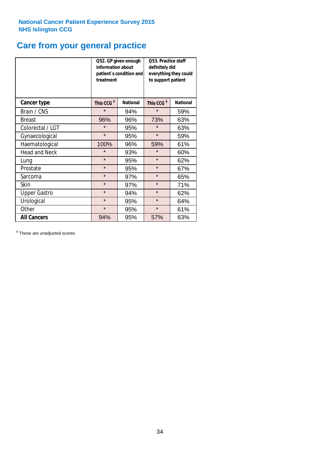## **Care from your general practice**

|                      | information about<br>treatment | Q52. GP given enough<br>patient's condition and | O53. Practice staff<br>definitely did<br>everything they could<br>to support patient |                 |  |
|----------------------|--------------------------------|-------------------------------------------------|--------------------------------------------------------------------------------------|-----------------|--|
| <b>Cancer type</b>   | This CCG <sup>\$</sup>         | <b>National</b>                                 | This CCG <sup>\$</sup>                                                               | <b>National</b> |  |
| Brain / CNS          | $\star$                        | 94%                                             | $\star$                                                                              | 59%             |  |
| <b>Breast</b>        | 96%                            | 96%                                             | 73%                                                                                  | 63%             |  |
| Colorectal / LGT     | $\star$                        | 95%                                             | $\star$                                                                              | 63%             |  |
| Gynaecological       | $\star$                        | 95%                                             | $\star$                                                                              | 59%             |  |
| Haematological       | 100%                           | 96%                                             | 59%                                                                                  | 61%             |  |
| <b>Head and Neck</b> | $\star$                        | 93%                                             | $\star$                                                                              | 60%             |  |
| Lung                 | $\star$                        | 95%                                             | $\star$                                                                              | 62%             |  |
| Prostate             | $\star$                        | 95%                                             | $\star$                                                                              | 67%             |  |
| Sarcoma              | $\star$                        | 97%                                             | $\star$                                                                              | 65%             |  |
| Skin                 | $\star$                        | 97%                                             | $\star$                                                                              | 71%             |  |
| <b>Upper Gastro</b>  | $\star$                        | 94%                                             | $\star$                                                                              | 62%             |  |
| Urological           | $\star$                        | 95%                                             | $\star$                                                                              | 64%             |  |
| Other                | $\star$                        | 95%                                             | $\star$                                                                              | 61%             |  |
| <b>All Cancers</b>   | 94%                            | 95%                                             | 57%                                                                                  | 63%             |  |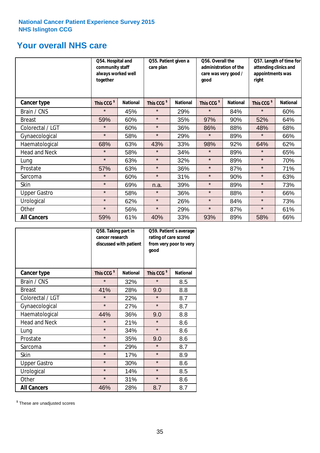## **Your overall NHS care**

|                      | together               | Q54. Hospital and<br>community staff<br>always worked well |                        | Q55. Patient given a | Q56. Overall the<br>administration of the<br>care was very good /<br>qood |                 | Q57. Length of time for<br>attending clinics and<br>appointments was<br>right |                 |
|----------------------|------------------------|------------------------------------------------------------|------------------------|----------------------|---------------------------------------------------------------------------|-----------------|-------------------------------------------------------------------------------|-----------------|
| <b>Cancer type</b>   | This CCG <sup>\$</sup> | <b>National</b>                                            | This CCG <sup>\$</sup> | <b>National</b>      | This CCG <sup>\$</sup>                                                    | <b>National</b> | This CCG <sup>\$</sup>                                                        | <b>National</b> |
| Brain / CNS          | $\star$                | 45%                                                        | $\star$                | 29%                  | $\star$                                                                   | 84%             | $\star$                                                                       | 60%             |
| <b>Breast</b>        | 59%                    | 60%                                                        | $\star$                | 35%                  | 97%                                                                       | 90%             | 52%                                                                           | 64%             |
| Colorectal / LGT     | $\star$                | 60%                                                        | $\star$                | 36%                  | 86%                                                                       | 88%             | 48%                                                                           | 68%             |
| Gynaecological       | $\star$                | 58%                                                        | $\star$                | 29%                  | $\star$                                                                   | 89%             | $\star$                                                                       | 66%             |
| Haematological       | 68%                    | 63%                                                        | 43%                    | 33%                  | 98%                                                                       | 92%             | 64%                                                                           | 62%             |
| <b>Head and Neck</b> | $\star$                | 58%                                                        | $\star$                | 34%                  | $\star$                                                                   | 89%             | $\star$                                                                       | 65%             |
| Lung                 | $\star$                | 63%                                                        | $\star$                | 32%                  | $\star$                                                                   | 89%             | $\star$                                                                       | 70%             |
| Prostate             | 57%                    | 63%                                                        | $\star$                | 36%                  | $\star$                                                                   | 87%             | $\star$                                                                       | 71%             |
| Sarcoma              | $\star$                | 60%                                                        | $\star$                | 31%                  | $\star$                                                                   | 90%             | $\star$                                                                       | 63%             |
| Skin                 | $\star$                | 69%                                                        | n.a.                   | 39%                  | $\star$                                                                   | 89%             | $\star$                                                                       | 73%             |
| <b>Upper Gastro</b>  | $\star$                | 58%                                                        | $\star$                | 36%                  | $\star$                                                                   | 88%             | $\star$                                                                       | 66%             |
| Urological           | $\star$                | 62%                                                        | $\star$                | 26%                  | $\star$                                                                   | 84%             | $\star$                                                                       | 73%             |
| Other                | $\star$                | 56%                                                        | $\star$                | 29%                  | $\star$                                                                   | 87%             | $\star$                                                                       | 61%             |
| <b>All Cancers</b>   | 59%                    | 61%                                                        | 40%                    | 33%                  | 93%                                                                       | 89%             | 58%                                                                           | 66%             |

|                      | Q58. Taking part in<br>cancer research | discussed with patient | Q59. Patient's average<br>rating of care scored<br>from very poor to very<br>good |                 |  |
|----------------------|----------------------------------------|------------------------|-----------------------------------------------------------------------------------|-----------------|--|
| <b>Cancer type</b>   | This CCG <sup>\$</sup>                 | <b>National</b>        | This CCG <sup>\$</sup>                                                            | <b>National</b> |  |
| Brain / CNS          | $\star$                                | 32%                    | $\star$                                                                           | 8.5             |  |
| <b>Breast</b>        | 41%                                    | 28%                    | 9.0                                                                               | 8.8             |  |
| Colorectal / LGT     | $\star$                                | 22%                    | $\star$                                                                           | 8.7             |  |
| Gynaecological       | $\star$                                | 27%                    | $\star$                                                                           | 8.7             |  |
| Haematological       | 44%                                    | 36%                    | 9.0                                                                               | 8.8             |  |
| <b>Head and Neck</b> | $\star$                                | 21%                    | $\star$                                                                           | 8.6             |  |
| Lung                 | $\star$                                | 34%                    | $\star$                                                                           | 8.6             |  |
| Prostate             | $\star$                                | 35%                    | 9.0                                                                               | 8.6             |  |
| Sarcoma              | $\star$                                | 29%                    | $\star$                                                                           | 8.7             |  |
| Skin                 | $\star$                                | 17%                    | $\star$                                                                           | 8.9             |  |
| <b>Upper Gastro</b>  | $\star$                                | 30%                    | $\star$                                                                           | 8.6             |  |
| Urological           | $\star$                                | 14%                    | $\star$                                                                           | 8.5             |  |
| Other                | $\star$                                | 31%                    | $\star$                                                                           | 8.6             |  |
| <b>All Cancers</b>   | 46%                                    | 28%                    | 8.7                                                                               | 8.7             |  |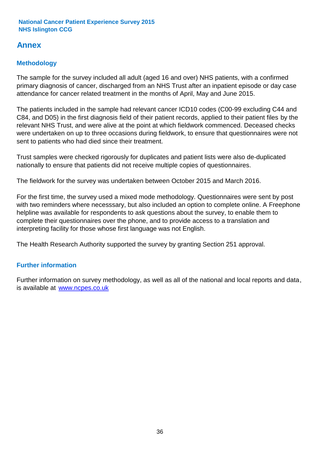## **Annex**

## **Methodology**

The sample for the survey included all adult (aged 16 and over) NHS patients, with a confirmed primary diagnosis of cancer, discharged from an NHS Trust after an inpatient episode or day case attendance for cancer related treatment in the months of April, May and June 2015.

The patients included in the sample had relevant cancer ICD10 codes (C00-99 excluding C44 and C84, and D05) in the first diagnosis field of their patient records, applied to their patient files by the relevant NHS Trust, and were alive at the point at which fieldwork commenced. Deceased checks were undertaken on up to three occasions during fieldwork, to ensure that questionnaires were not sent to patients who had died since their treatment.

Trust samples were checked rigorously for duplicates and patient lists were also de-duplicated nationally to ensure that patients did not receive multiple copies of questionnaires.

The fieldwork for the survey was undertaken between October 2015 and March 2016.

For the first time, the survey used a mixed mode methodology. Questionnaires were sent by post with two reminders where necesssary, but also included an option to complete online. A Freephone helpline was available for respondents to ask questions about the survey, to enable them to complete their questionnaires over the phone, and to provide access to a translation and interpreting facility for those whose first language was not English.

The Health Research Authority supported the survey by granting Section 251 approval.

## **Further information**

Further information on survey methodology, as well as all of the national and local reports and data, is available at www.ncpes.co.uk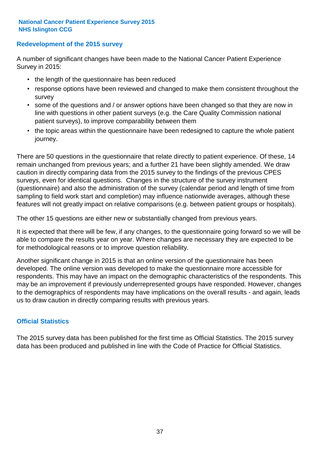## **Redevelopment of the 2015 survey**

A number of significant changes have been made to the National Cancer Patient Experience Survey in 2015:

- the length of the questionnaire has been reduced
- response options have been reviewed and changed to make them consistent throughout the survey
- some of the questions and / or answer options have been changed so that they are now in line with questions in other patient surveys (e.g. the Care Quality Commission national patient surveys), to improve comparability between them
- the topic areas within the questionnaire have been redesigned to capture the whole patient journey.

There are 50 questions in the questionnaire that relate directly to patient experience. Of these, 14 remain unchanged from previous years; and a further 21 have been slightly amended. We draw caution in directly comparing data from the 2015 survey to the findings of the previous CPES surveys, even for identical questions. Changes in the structure of the survey instrument (questionnaire) and also the administration of the survey (calendar period and length of time from sampling to field work start and completion) may influence nationwide averages, although these features will not greatly impact on relative comparisons (e.g. between patient groups or hospitals).

The other 15 questions are either new or substantially changed from previous years.

It is expected that there will be few, if any changes, to the questionnaire going forward so we will be able to compare the results year on year. Where changes are necessary they are expected to be for methodological reasons or to improve question reliability.

Another significant change in 2015 is that an online version of the questionnaire has been developed. The online version was developed to make the questionnaire more accessible for respondents. This may have an impact on the demographic characteristics of the respondents. This may be an improvement if previously underrepresented groups have responded. However, changes to the demographics of respondents may have implications on the overall results - and again, leads us to draw caution in directly comparing results with previous years.

## **Official Statistics**

The 2015 survey data has been published for the first time as Official Statistics. The 2015 survey data has been produced and published in line with the Code of Practice for Official Statistics.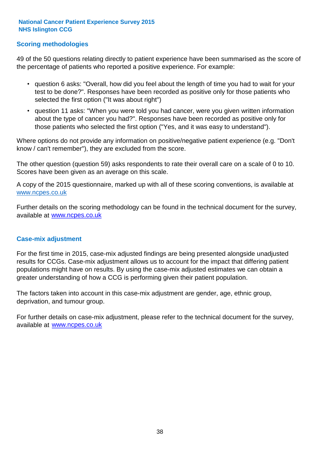## **Scoring methodologies**

49 of the 50 questions relating directly to patient experience have been summarised as the score of the percentage of patients who reported a positive experience. For example:

- question 6 asks: "Overall, how did you feel about the length of time you had to wait for your test to be done?". Responses have been recorded as positive only for those patients who selected the first option ("It was about right")
- question 11 asks: "When you were told you had cancer, were you given written information about the type of cancer you had?". Responses have been recorded as positive only for those patients who selected the first option ("Yes, and it was easy to understand").

Where options do not provide any information on positive/negative patient experience (e.g. "Don't know / can't remember"), they are excluded from the score.

The other question (question 59) asks respondents to rate their overall care on a scale of 0 to 10. Scores have been given as an average on this scale.

A copy of the 2015 questionnaire, marked up with all of these scoring conventions, is available at www.ncpes.co.uk

Further details on the scoring methodology can be found in the technical document for the survey, available at <u>www.ncpes.co.uk</u>

#### **Case-mix adjustment**

For the first time in 2015, case-mix adjusted findings are being presented alongside unadjusted results for CCGs. Case-mix adjustment allows us to account for the impact that differing patient populations might have on results. By using the case-mix adjusted estimates we can obtain a greater understanding of how a CCG is performing given their patient population.

The factors taken into account in this case-mix adjustment are gender, age, ethnic group, deprivation, and tumour group.

For further details on case-mix adjustment, please refer to the technical document for the survey, available at www.ncpes.co.uk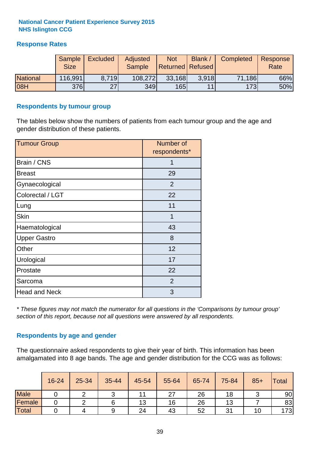## **Response Rates**

|                 | Sample      | <b>Excluded</b> | Adjusted      | <b>Not</b>              | Blank / | Completed | Response |
|-----------------|-------------|-----------------|---------------|-------------------------|---------|-----------|----------|
|                 | <b>Size</b> |                 | <b>Sample</b> | <b>Returned Refused</b> |         |           | Rate     |
| <b>National</b> | 116,991     | 8.719           | 108,272       | 33,168                  | 3.918   | 71,186    | 66%      |
| 08H             | <b>376</b>  | 27              | 349           | 165                     | 11      | 173       | 50%      |

### **Respondents by tumour group**

The tables below show the numbers of patients from each tumour group and the age and gender distribution of these patients.

| <b>Tumour Group</b>  | Number of<br>respondents* |  |  |
|----------------------|---------------------------|--|--|
| Brain / CNS          | 1                         |  |  |
| <b>Breast</b>        | 29                        |  |  |
| Gynaecological       | 2                         |  |  |
| Colorectal / LGT     | 22                        |  |  |
| Lung                 | 11                        |  |  |
| <b>Skin</b>          | 1                         |  |  |
| Haematological       | 43                        |  |  |
| <b>Upper Gastro</b>  | 8                         |  |  |
| Other                | 12                        |  |  |
| Urological           | 17                        |  |  |
| Prostate             | 22                        |  |  |
| Sarcoma              | 2                         |  |  |
| <b>Head and Neck</b> | 3                         |  |  |

*\* These figures may not match the numerator for all questions in the 'Comparisons by tumour group' section of this report, because not all questions were answered by all respondents.*

## **Respondents by age and gender**

The questionnaire asked respondents to give their year of birth. This information has been amalgamated into 8 age bands. The age and gender distribution for the CCG was as follows:

|             | 16-24 | 25-34 | 35-44 | 45-54 | 55-64 | 65-74 | 75-84 | $85+$ | Total |
|-------------|-------|-------|-------|-------|-------|-------|-------|-------|-------|
| <b>Male</b> |       |       |       |       | 27    | 26    | 18    |       | 90    |
| Female      |       |       |       | 13    | 16    | 26    | 13    |       | 83    |
| Total       |       |       | 9     | 24    | 43    | 52    | 31    | 10.   | 173   |